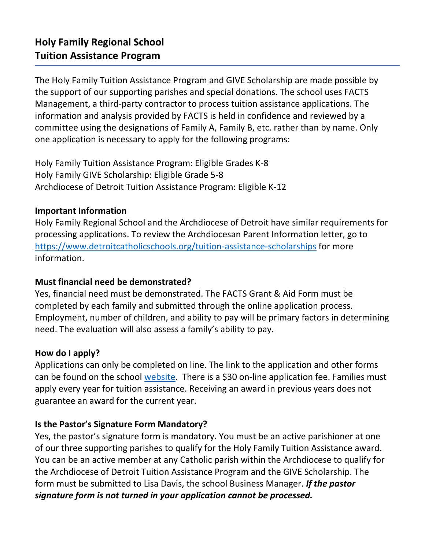The Holy Family Tuition Assistance Program and GIVE Scholarship are made possible by the support of our supporting parishes and special donations. The school uses FACTS Management, a third-party contractor to process tuition assistance applications. The information and analysis provided by FACTS is held in confidence and reviewed by a committee using the designations of Family A, Family B, etc. rather than by name. Only one application is necessary to apply for the following programs:

Holy Family Tuition Assistance Program: Eligible Grades K-8 Holy Family GIVE Scholarship: Eligible Grade 5-8 Archdiocese of Detroit Tuition Assistance Program: Eligible K-12

### **Important Information**

Holy Family Regional School and the Archdiocese of Detroit have similar requirements for processing applications. To review the Archdiocesan Parent Information letter, go to <https://www.detroitcatholicschools.org/tuition-assistance-scholarships> for more information.

## **Must financial need be demonstrated?**

Yes, financial need must be demonstrated. The FACTS Grant & Aid Form must be completed by each family and submitted through the online application process. Employment, number of children, and ability to pay will be primary factors in determining need. The evaluation will also assess a family's ability to pay.

## **How do I apply?**

Applications can only be completed on line. The link to the application and other forms can be found on the school [website.](https://www.holyfam.org/apps/pages/index.jsp?uREC_ID=769859&type=d&pREC_ID=1171767) There is a \$30 on-line application fee. Families must apply every year for tuition assistance. Receiving an award in previous years does not guarantee an award for the current year.

## **Is the Pastor's Signature Form Mandatory?**

Yes, the pastor's signature form is mandatory. You must be an active parishioner at one of our three supporting parishes to qualify for the Holy Family Tuition Assistance award. You can be an active member at any Catholic parish within the Archdiocese to qualify for the Archdiocese of Detroit Tuition Assistance Program and the GIVE Scholarship. The form must be submitted to Lisa Davis, the school Business Manager. *If the pastor signature form is not turned in your application cannot be processed.*